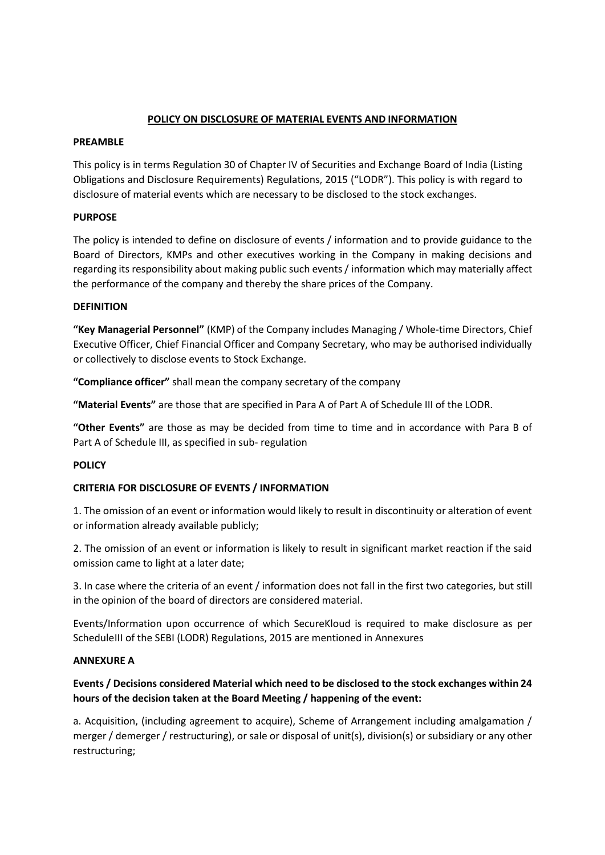### **POLICY ON DISCLOSURE OF MATERIAL EVENTS AND INFORMATION**

### **PREAMBLE**

This policy is in terms Regulation 30 of Chapter IV of Securities and Exchange Board of India (Listing Obligations and Disclosure Requirements) Regulations, 2015 ("LODR"). This policy is with regard to disclosure of material events which are necessary to be disclosed to the stock exchanges.

# **PURPOSE**

The policy is intended to define on disclosure of events / information and to provide guidance to the Board of Directors, KMPs and other executives working in the Company in making decisions and regarding its responsibility about making public such events/ information which may materially affect the performance of the company and thereby the share prices of the Company.

### **DEFINITION**

**"Key Managerial Personnel"** (KMP) of the Company includes Managing / Whole‐time Directors, Chief Executive Officer, Chief Financial Officer and Company Secretary, who may be authorised individually or collectively to disclose events to Stock Exchange.

**"Compliance officer"** shall mean the company secretary of the company

**"Material Events"** are those that are specified in Para A of Part A of Schedule III of the LODR.

**"Other Events"** are those as may be decided from time to time and in accordance with Para B of Part A of Schedule III, as specified in sub‐ regulation

# **POLICY**

# **CRITERIA FOR DISCLOSURE OF EVENTS / INFORMATION**

1. The omission of an event or information would likely to result in discontinuity or alteration of event or information already available publicly;

2. The omission of an event or information is likely to result in significant market reaction if the said omission came to light at a later date;

3. In case where the criteria of an event / information does not fall in the first two categories, but still in the opinion of the board of directors are considered material.

Events/Information upon occurrence of which SecureKloud is required to make disclosure as per ScheduleIII of the SEBI (LODR) Regulations, 2015 are mentioned in Annexures

### **ANNEXURE A**

# **Events / Decisions considered Material which need to be disclosed to the stock exchanges within 24 hours of the decision taken at the Board Meeting / happening of the event:**

a. Acquisition, (including agreement to acquire), Scheme of Arrangement including amalgamation / merger / demerger / restructuring), or sale or disposal of unit(s), division(s) or subsidiary or any other restructuring;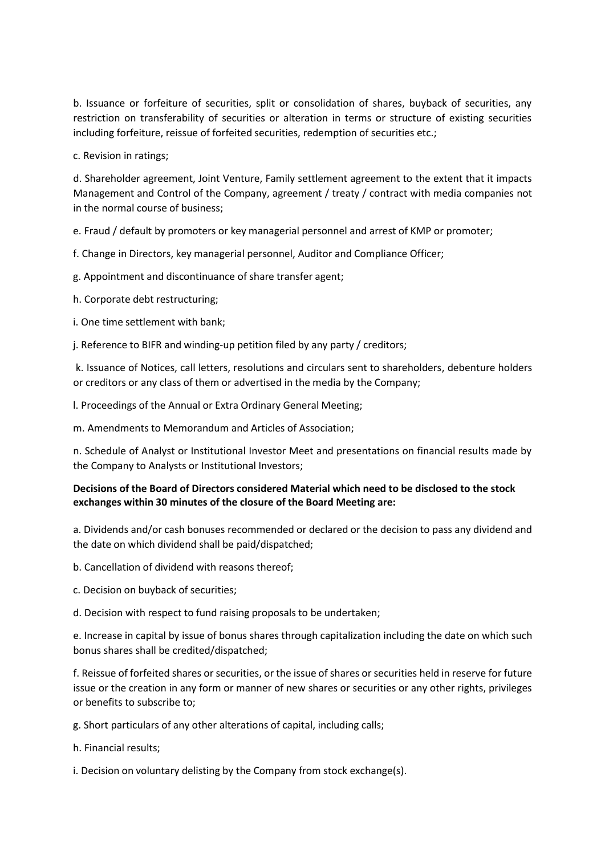b. Issuance or forfeiture of securities, split or consolidation of shares, buyback of securities, any restriction on transferability of securities or alteration in terms or structure of existing securities including forfeiture, reissue of forfeited securities, redemption of securities etc.;

c. Revision in ratings;

d. Shareholder agreement, Joint Venture, Family settlement agreement to the extent that it impacts Management and Control of the Company, agreement / treaty / contract with media companies not in the normal course of business;

e. Fraud / default by promoters or key managerial personnel and arrest of KMP or promoter;

f. Change in Directors, key managerial personnel, Auditor and Compliance Officer;

g. Appointment and discontinuance of share transfer agent;

h. Corporate debt restructuring;

i. One time settlement with bank;

j. Reference to BIFR and winding‐up petition filed by any party / creditors;

k. Issuance of Notices, call letters, resolutions and circulars sent to shareholders, debenture holders or creditors or any class of them or advertised in the media by the Company;

l. Proceedings of the Annual or Extra Ordinary General Meeting;

m. Amendments to Memorandum and Articles of Association;

n. Schedule of Analyst or Institutional Investor Meet and presentations on financial results made by the Company to Analysts or Institutional Investors;

### **Decisions of the Board of Directors considered Material which need to be disclosed to the stock exchanges within 30 minutes of the closure of the Board Meeting are:**

a. Dividends and/or cash bonuses recommended or declared or the decision to pass any dividend and the date on which dividend shall be paid/dispatched;

b. Cancellation of dividend with reasons thereof;

c. Decision on buyback of securities;

d. Decision with respect to fund raising proposals to be undertaken;

e. Increase in capital by issue of bonus shares through capitalization including the date on which such bonus shares shall be credited/dispatched;

f. Reissue of forfeited shares or securities, or the issue ofshares orsecurities held in reserve for future issue or the creation in any form or manner of new shares or securities or any other rights, privileges or benefits to subscribe to;

g. Short particulars of any other alterations of capital, including calls;

h. Financial results;

i. Decision on voluntary delisting by the Company from stock exchange(s).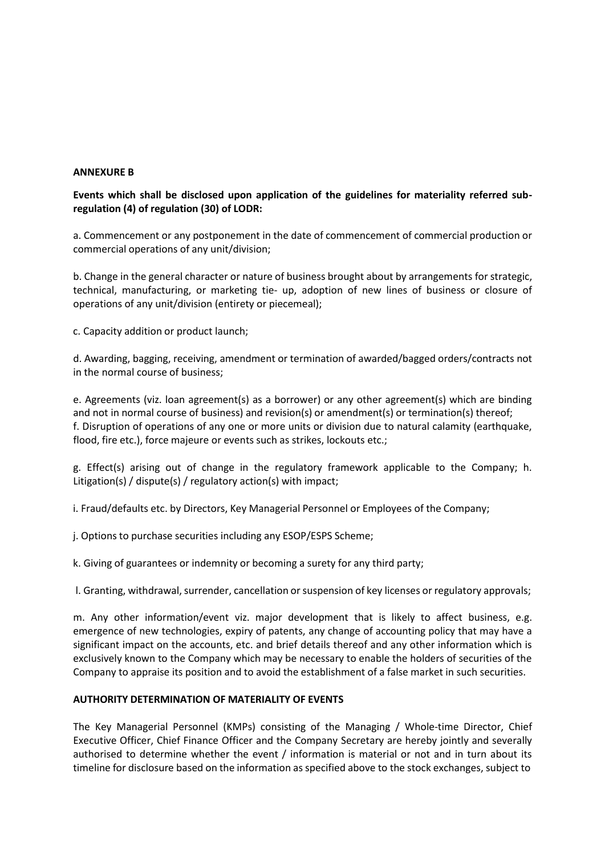### **ANNEXURE B**

### **Events which shall be disclosed upon application of the guidelines for materiality referred subregulation (4) of regulation (30) of LODR:**

a. Commencement or any postponement in the date of commencement of commercial production or commercial operations of any unit/division;

b. Change in the general character or nature of business brought about by arrangements for strategic, technical, manufacturing, or marketing tie‐ up, adoption of new lines of business or closure of operations of any unit/division (entirety or piecemeal);

c. Capacity addition or product launch;

d. Awarding, bagging, receiving, amendment or termination of awarded/bagged orders/contracts not in the normal course of business;

e. Agreements (viz. loan agreement(s) as a borrower) or any other agreement(s) which are binding and not in normal course of business) and revision(s) or amendment(s) or termination(s) thereof; f. Disruption of operations of any one or more units or division due to natural calamity (earthquake, flood, fire etc.), force majeure or events such as strikes, lockouts etc.;

g. Effect(s) arising out of change in the regulatory framework applicable to the Company; h. Litigation(s) / dispute(s) / regulatory action(s) with impact;

i. Fraud/defaults etc. by Directors, Key Managerial Personnel or Employees of the Company;

j. Options to purchase securities including any ESOP/ESPS Scheme;

k. Giving of guarantees or indemnity or becoming a surety for any third party;

l. Granting, withdrawal, surrender, cancellation or suspension of key licenses or regulatory approvals;

m. Any other information/event viz. major development that is likely to affect business, e.g. emergence of new technologies, expiry of patents, any change of accounting policy that may have a significant impact on the accounts, etc. and brief details thereof and any other information which is exclusively known to the Company which may be necessary to enable the holders of securities of the Company to appraise its position and to avoid the establishment of a false market in such securities.

#### **AUTHORITY DETERMINATION OF MATERIALITY OF EVENTS**

The Key Managerial Personnel (KMPs) consisting of the Managing / Whole‐time Director, Chief Executive Officer, Chief Finance Officer and the Company Secretary are hereby jointly and severally authorised to determine whether the event / information is material or not and in turn about its timeline for disclosure based on the information as specified above to the stock exchanges, subject to